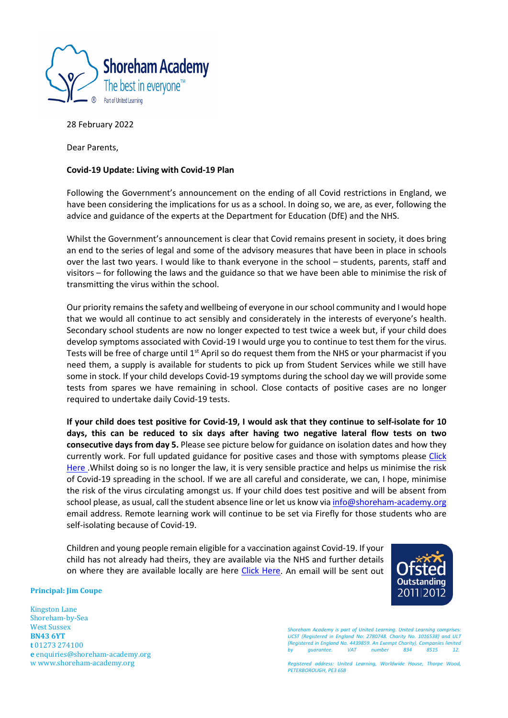

28 February 2022

Dear Parents,

## **Covid-19 Update: Living with Covid-19 Plan**

Following the Government's announcement on the ending of all Covid restrictions in England, we have been considering the implications for us as a school. In doing so, we are, as ever, following the advice and guidance of the experts at the Department for Education (DfE) and the NHS.

Whilst the Government's announcement is clear that Covid remains present in society, it does bring an end to the series of legal and some of the advisory measures that have been in place in schools over the last two years. I would like to thank everyone in the school – students, parents, staff and visitors – for following the laws and the guidance so that we have been able to minimise the risk of transmitting the virus within the school.

Our priority remains the safety and wellbeing of everyone in our school community and I would hope that we would all continue to act sensibly and considerately in the interests of everyone's health. Secondary school students are now no longer expected to test twice a week but, if your child does develop symptoms associated with Covid-19 I would urge you to continue to test them for the virus. Tests will be free of charge until  $1<sup>st</sup>$  April so do request them from the NHS or your pharmacist if you need them, a supply is available for students to pick up from Student Services while we still have some in stock. If your child develops Covid-19 symptoms during the school day we will provide some tests from spares we have remaining in school. Close contacts of positive cases are no longer required to undertake daily Covid-19 tests.

**If your child does test positive for Covid-19, I would ask that they continue to self-isolate for 10 days, this can be reduced to six days after having two negative lateral flow tests on two consecutive days from day 5.** Please see picture below for guidance on isolation dates and how they currently work. For full updated guidance for positive cases and those with symptoms please [Click](https://www.gov.uk/government/publications/covid-19-people-with-covid-19-and-their-contacts/covid-19-people-with-covid-19-and-their-contacts)  [Here .](https://www.gov.uk/government/publications/covid-19-people-with-covid-19-and-their-contacts/covid-19-people-with-covid-19-and-their-contacts) Whilst doing so is no longer the law, it is very sensible practice and helps us minimise the risk of Covid-19 spreading in the school. If we are all careful and considerate, we can, I hope, minimise the risk of the virus circulating amongst us. If your child does test positive and will be absent from school please, as usual, call the student absence line or let us know via [info@shoreham-academy.org](mailto:info@shoreham-academy.org) email address. Remote learning work will continue to be set via Firefly for those students who are self-isolating because of Covid-19.

Children and young people remain eligible for a vaccination against Covid-19. If your child has not already had theirs, they are available via the NHS and further details on where they are available locally are here [Click Here.](https://www.nhs.uk/conditions/coronavirus-covid-19/coronavirus-vaccination/book-coronavirus-vaccination/) An email will be sent out



## **Principal: Jim Coupe**

Kingston Lane Shoreham-by-Sea West Sussex **BN43 6YT t** 01273 274100 **e** enquiries@shoreham-academy.org [w www.shoreham-academy.org](http://www.shoreham-academy.org/) 

*Shoreham Academy is part of United Learning. United Learning comprises: UCST (Registered in England No: 2780748. Charity No. 1016538) and ULT (Registered in England No. 4439859. An Exempt Charity). Companies limited by guarantee. VAT number 834 8515 12.*

*Registered address: United Learning, Worldwide House, Thorpe Wood, PETERBOROUGH, PE3 6SB*